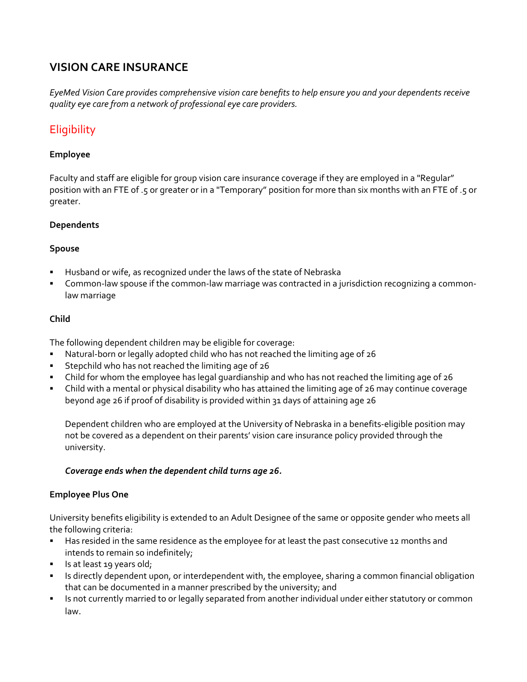# **VISION CARE INSURANCE**

*EyeMed Vision Care provides comprehensive vision care benefits to help ensure you and your dependents receive quality eye care from a network of professional eye care providers.*

# **Eligibility**

#### **Employee**

Faculty and staff are eligible for group vision care insurance coverage if they are employed in a "Regular" position with an FTE of .5 or greater or in a "Temporary" position for more than six months with an FTE of .5 or greater.

#### **Dependents**

#### **Spouse**

- Husband or wife, as recognized under the laws of the state of Nebraska
- Common-law spouse if the common-law marriage was contracted in a jurisdiction recognizing a commonlaw marriage

#### **Child**

The following dependent children may be eligible for coverage:

- Natural‐born or legally adopted child who has not reached the limiting age of 26
- Stepchild who has not reached the limiting age of 26
- Child for whom the employee has legal guardianship and who has not reached the limiting age of 26
- Child with a mental or physical disability who has attained the limiting age of 26 may continue coverage beyond age 26 if proof of disability is provided within 31 days of attaining age 26

Dependent children who are employed at the University of Nebraska in a benefits‐eligible position may not be covered as a dependent on their parents' vision care insurance policy provided through the university.

#### *Coverage ends when the dependent child turns age 26.*

#### **Employee Plus One**

University benefits eligibility is extended to an Adult Designee of the same or opposite gender who meets all the following criteria:

- Has resided in the same residence as the employee for at least the past consecutive 12 months and intends to remain so indefinitely;
- Is at least 19 years old;
- Inter 15 directly dependent upon, or interdependent with, the employee, sharing a common financial obligation that can be documented in a manner prescribed by the university; and
- Is not currently married to or legally separated from another individual under either statutory or common law.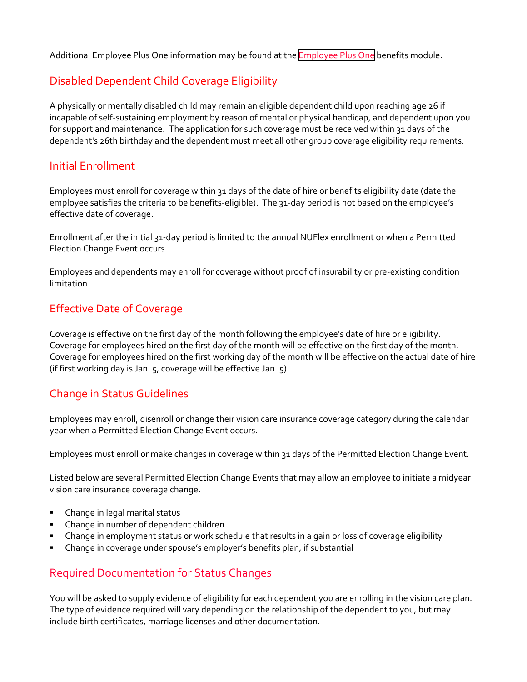Additional [Employee](https://nebraska.edu/faculty-and-staff/health-benefits/employee-plus-one) Plus One information may be found at the **Employee Plus One** benefits module.

# Disabled Dependent Child Coverage Eligibility

A physically or mentally disabled child may remain an eligible dependent child upon reaching age 26 if incapable of self‐sustaining employment by reason of mental or physical handicap, and dependent upon you for support and maintenance. The application for such coverage must be received within 31 days of the dependent's 26th birthday and the dependent must meet all other group coverage eligibility requirements.

#### Initial Enrollment

Employees must enroll for coverage within 31 days of the date of hire or benefits eligibility date (date the employee satisfies the criteria to be benefits-eligible). The 31-day period is not based on the employee's effective date of coverage.

Enrollment after the initial 31‐day period is limited to the annual NUFlex enrollment or when a Permitted Election Change Event occurs

Employees and dependents may enroll for coverage without proof of insurability or pre‐existing condition limitation.

# Effective Date of Coverage

Coverage is effective on the first day of the month following the employee's date of hire or eligibility. Coverage for employees hired on the first day of the month will be effective on the first day of the month. Coverage for employees hired on the first working day of the month will be effective on the actual date of hire (if first working day is Jan. 5, coverage will be effective Jan. 5).

# Change in Status Guidelines

Employees may enroll, disenroll or change their vision care insurance coverage category during the calendar year when a Permitted Election Change Event occurs.

Employees must enroll or make changes in coverage within 31 days of the Permitted Election Change Event.

Listed below are several Permitted Election Change Events that may allow an employee to initiate a midyear vision care insurance coverage change.

- **EXEC** Change in legal marital status
- Change in number of dependent children
- Change in employment status or work schedule that results in a gain or loss of coverage eligibility
- Change in coverage under spouse's employer's benefits plan, if substantial

# Required Documentation for Status Changes

You will be asked to supply evidence of eligibility for each dependent you are enrolling in the vision care plan. The type of evidence required will vary depending on the relationship of the dependent to you, but may include birth certificates, marriage licenses and other documentation.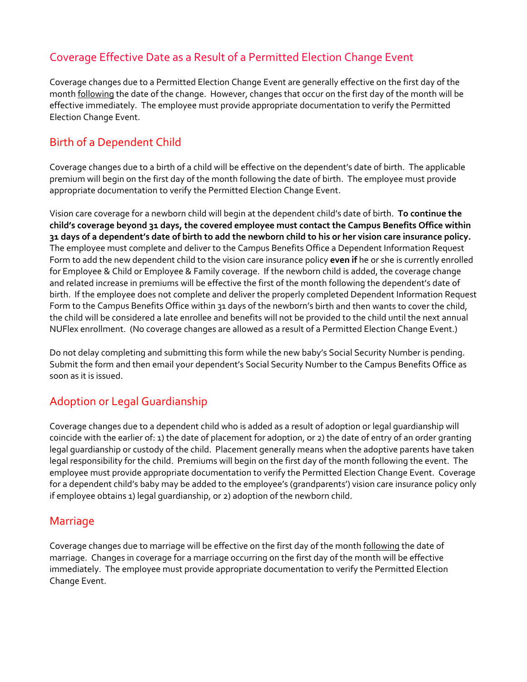# Coverage Effective Date as a Result of a Permitted Election Change Event

Coverage changes due to a Permitted Election Change Event are generally effective on the first day of the month **following** the date of the change. However, changes that occur on the first day of the month will be effective immediately. The employee must provide appropriate documentation to verify the Permitted Election Change Event.

## Birth of a Dependent Child

Coverage changes due to a birth of a child will be effective on the dependent's date of birth. The applicable premium will begin on the first day of the month following the date of birth. The employee must provide appropriate documentation to verify the Permitted Election Change Event.

Vision care coverage for a newborn child will begin at the dependent child's date of birth. **To continue the child's coverage beyond 31 days, the covered employee must contact the Campus Benefits Office within** 31 days of a dependent's date of birth to add the newborn child to his or her vision care insurance policy. The employee must complete and deliver to the Campus Benefits Office a Dependent Information Request Form to add the new dependent child to the vision care insurance policy **even if** he or she is currently enrolled for Employee & Child or Employee & Family coverage. If the newborn child is added, the coverage change and related increase in premiums will be effective the first of the month following the dependent's date of birth. If the employee does not complete and deliver the properly completed Dependent Information Request Form to the Campus Benefits Office within 31 days of the newborn's birth and then wants to cover the child, the child will be considered a late enrollee and benefits will not be provided to the child until the next annual NUFlex enrollment. (No coverage changes are allowed as a result of a Permitted Election Change Event.)

Do not delay completing and submitting this form while the new baby's Social Security Number is pending. Submit the form and then email your dependent's Social Security Number to the Campus Benefits Office as soon as it is issued.

# Adoption or Legal Guardianship

Coverage changes due to a dependent child who is added as a result of adoption or legal guardianship will coincide with the earlier of: 1) the date of placement for adoption, or 2) the date of entry of an order granting legal guardianship or custody of the child. Placement generally means when the adoptive parents have taken legal responsibility for the child. Premiums will begin on the first day of the month following the event. The employee must provide appropriate documentation to verify the Permitted Election Change Event. Coverage for a dependent child's baby may be added to the employee's (grandparents') vision care insurance policy only if employee obtains 1) legal guardianship, or 2) adoption of the newborn child.

#### Marriage

Coverage changes due to marriage will be effective on the first day of the month following the date of marriage. Changes in coverage for a marriage occurring on the first day of the month will be effective immediately. The employee must provide appropriate documentation to verify the Permitted Election Change Event.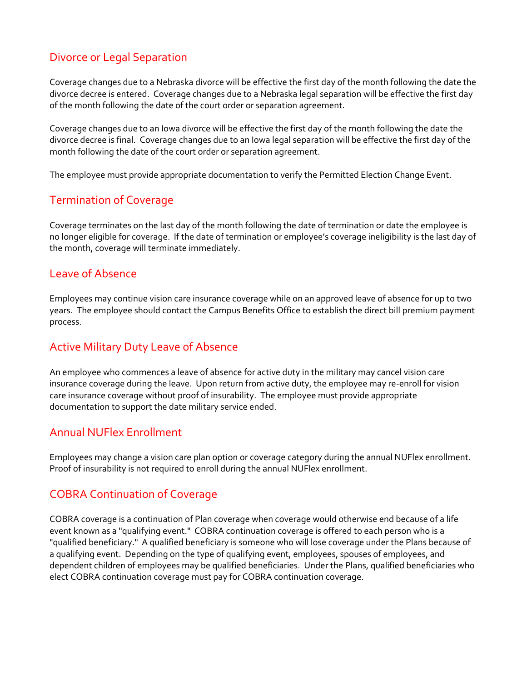## Divorce or Legal Separation

Coverage changes due to a Nebraska divorce will be effective the first day of the month following the date the divorce decree is entered. Coverage changes due to a Nebraska legal separation will be effective the first day of the month following the date of the court order or separation agreement.

Coverage changes due to an Iowa divorce will be effective the first day of the month following the date the divorce decree is final. Coverage changes due to an Iowa legal separation will be effective the first day of the month following the date of the court order or separation agreement.

The employee must provide appropriate documentation to verify the Permitted Election Change Event.

## Termination of Coverage

Coverage terminates on the last day of the month following the date of termination or date the employee is no longer eligible for coverage. If the date of termination or employee's coverage ineligibility is the last day of the month, coverage will terminate immediately.

### Leave of Absence

Employees may continue vision care insurance coverage while on an approved leave of absence for up to two years. The employee should contact the Campus Benefits Office to establish the direct bill premium payment process.

## Active Military Duty Leave of Absence

An employee who commences a leave of absence for active duty in the military may cancel vision care insurance coverage during the leave. Upon return from active duty, the employee may re‐enroll for vision care insurance coverage without proof of insurability. The employee must provide appropriate documentation to support the date military service ended.

## Annual NUFlex Enrollment

Employees may change a vision care plan option or coverage category during the annual NUFlex enrollment. Proof of insurability is not required to enroll during the annual NUFlex enrollment.

## COBRA Continuation of Coverage

COBRA coverage is a continuation of Plan coverage when coverage would otherwise end because of a life event known as a "qualifying event." COBRA continuation coverage is offered to each person who is a "qualified beneficiary." A qualified beneficiary is someone who will lose coverage under the Plans because of a qualifying event. Depending on the type of qualifying event, employees, spouses of employees, and dependent children of employees may be qualified beneficiaries. Under the Plans, qualified beneficiaries who elect COBRA continuation coverage must pay for COBRA continuation coverage.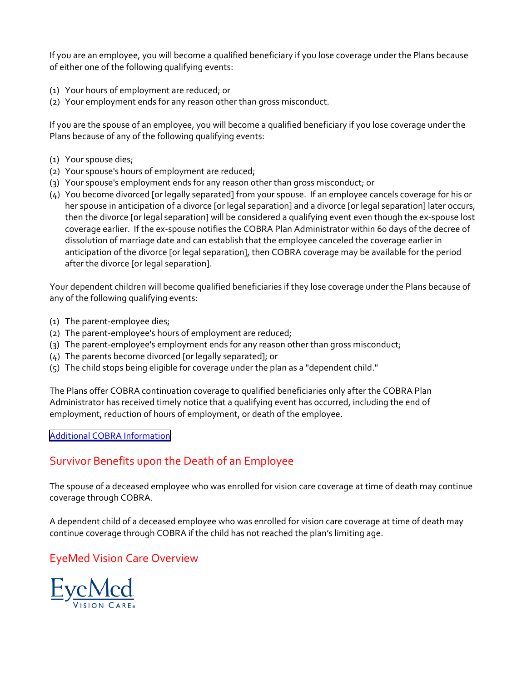If you are an employee, you will become a qualified beneficiary if you lose coverage under the Plans because of either one of the following qualifying events:

- (1) Your hours of employment are reduced; or
- (2) Your employment ends for any reason other than gross misconduct.

If you are the spouse of an employee, you will become a qualified beneficiary if you lose coverage under the Plans because of any of the following qualifying events:

- (1) Your spouse dies;
- (2) Your spouse's hours of employment are reduced;
- (3) Your spouse's employment ends for any reason other than gross misconduct; or
- (4) You become divorced [or legally separated] from your spouse. If an employee cancels coverage for his or her spouse in anticipation of a divorce [or legal separation] and a divorce [or legal separation] later occurs, then the divorce [or legal separation] will be considered a qualifying event even though the ex-spouse lost coverage earlier. If the ex‐spouse notifies the COBRA Plan Administrator within 60 days of the decree of dissolution of marriage date and can establish that the employee canceled the coverage earlier in anticipation of the divorce [or legal separation], then COBRA coverage may be available for the period after the divorce [or legal separation].

Your dependent children will become qualified beneficiaries if they lose coverage under the Plans because of any of the following qualifying events:

- (1) The parent‐employee dies;
- (2) The parent‐employee's hours of employment are reduced;
- (3) The parent‐employee's employment ends for any reason other than gross misconduct;
- (4) The parents become divorced [or legally separated]; or
- (5) The child stops being eligible for coverage under the plan as a "dependent child."

The Plans offer COBRA continuation coverage to qualified beneficiaries only after the COBRA Plan Administrator has received timely notice that a qualifying event has occurred, including the end of employment, reduction of hours of employment, or death of the employee.

#### Additional COBRA [Information](https://nebraska.edu/faculty-and-staff/health-benefits/cobra-benefits-post-employment)

# Survivor Benefits upon the Death of an Employee

The spouse of a deceased employee who was enrolled for vision care coverage at time of death may continue coverage through COBRA.

A dependent child of a deceased employee who was enrolled for vision care coverage at time of death may continue coverage through COBRA if the child has not reached the plan's limiting age.

## EyeMed Vision Care Overview

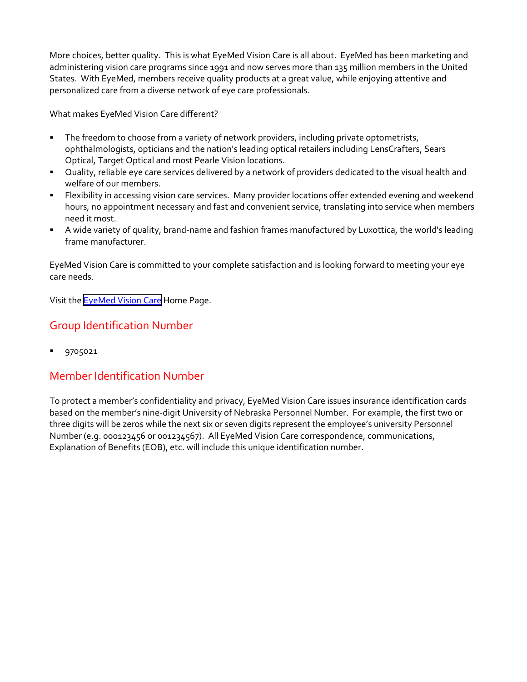More choices, better quality. This is what EyeMed Vision Care is all about. EyeMed has been marketing and administering vision care programs since 1991 and now serves more than 135 million members in the United States. With EyeMed, members receive quality products at a great value, while enjoying attentive and personalized care from a diverse network of eye care professionals.

What makes EyeMed Vision Care different?

- The freedom to choose from a variety of network providers, including private optometrists, ophthalmologists, opticians and the nation's leading optical retailers including LensCrafters, Sears Optical, Target Optical and most Pearle Vision locations.
- Quality, reliable eye care services delivered by a network of providers dedicated to the visual health and welfare of our members.
- Flexibility in accessing vision care services. Many provider locations offer extended evening and weekend hours, no appointment necessary and fast and convenient service, translating into service when members need it most.
- A wide variety of quality, brand‐name and fashion frames manufactured by Luxottica, the world's leading frame manufacturer.

EyeMed Vision Care is committed to your complete satisfaction and is looking forward to meeting your eye care needs.

Visit the **[EyeMed](www.eyemedvisioncare.com) Vision Care** Home Page.

## Group Identification Number

**9705021** 

# Member Identification Number

To protect a member's confidentiality and privacy, EyeMed Vision Care issues insurance identification cards based on the member's nine‐digit University of Nebraska Personnel Number. For example, the first two or three digits will be zeros while the next six or seven digits represent the employee's university Personnel Number (e.g. 000123456 or 001234567). All EyeMed Vision Care correspondence, communications, Explanation of Benefits (EOB), etc. will include this unique identification number.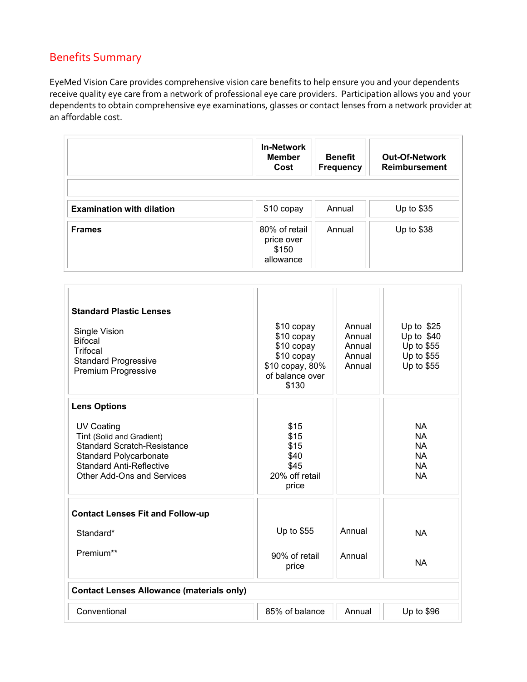# Benefits Summary

EyeMed Vision Care provides comprehensive vision care benefits to help ensure you and your dependents receive quality eye care from a network of professional eye care providers. Participation allows you and your dependents to obtain comprehensive eye examinations, glasses or contact lenses from a network provider at an affordable cost.

|                                  | <b>In-Network</b><br><b>Member</b><br>Cost        | <b>Benefit</b><br><b>Frequency</b> | <b>Out-Of-Network</b><br><b>Reimbursement</b> |
|----------------------------------|---------------------------------------------------|------------------------------------|-----------------------------------------------|
| <b>Examination with dilation</b> | \$10 copay                                        | Annual                             | Up to \$35                                    |
| <b>Frames</b>                    | 80% of retail<br>price over<br>\$150<br>allowance | Annual                             | Up to $$38$                                   |

| \$15<br>\$15<br>\$15<br>\$40<br>\$45<br>20% off retail<br>price                 |                  | <b>NA</b><br><b>NA</b><br><b>NA</b><br><b>NA</b><br><b>NA</b><br><b>NA</b> |  |  |
|---------------------------------------------------------------------------------|------------------|----------------------------------------------------------------------------|--|--|
| Up to \$55<br>90% of retail<br>price                                            | Annual<br>Annual | <b>NA</b><br><b>NA</b>                                                     |  |  |
| <b>Contact Lenses Allowance (materials only)</b><br>Conventional<br>Up to $$96$ |                  |                                                                            |  |  |
|                                                                                 | 85% of balance   | Annual                                                                     |  |  |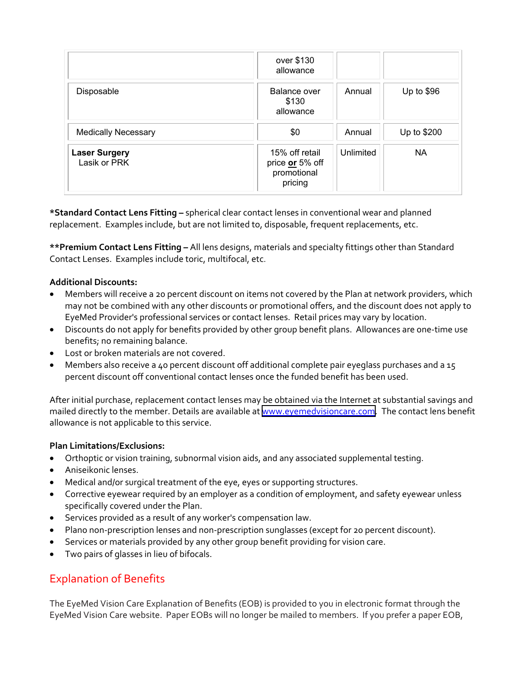|                                      | over \$130<br>allowance                                     |           |             |
|--------------------------------------|-------------------------------------------------------------|-----------|-------------|
| Disposable                           | <b>Balance over</b><br>\$130<br>allowance                   | Annual    | Up to $$96$ |
| <b>Medically Necessary</b>           | \$0                                                         | Annual    | Up to \$200 |
| <b>Laser Surgery</b><br>Lasik or PRK | 15% off retail<br>price or 5% off<br>promotional<br>pricing | Unlimited | <b>NA</b>   |

**\*Standard Contact Lens Fitting –** spherical clear contact lenses in conventional wear and planned replacement. Examples include, but are not limited to, disposable, frequent replacements, etc.

**\*\*Premium Contact Lens Fitting –** All lens designs, materials and specialty fittings other than Standard Contact Lenses. Examples include toric, multifocal, etc.

#### **Additional Discounts:**

- Members will receive a 20 percent discount on items not covered by the Plan at network providers, which may not be combined with any other discounts or promotional offers, and the discount does not apply to EyeMed Provider's professional services or contact lenses. Retail prices may vary by location.
- Discounts do not apply for benefits provided by other group benefit plans. Allowances are one-time use benefits; no remaining balance.
- Lost or broken materials are not covered.
- Members also receive a 40 percent discount off additional complete pair eyeglass purchases and a 15 percent discount off conventional contact lenses once the funded benefit has been used.

After initial purchase, replacement contact lenses may be obtained via the Internet at substantial savings and mailed directly to the member. Details are available at [www.eyemedvisioncare.com.](https://eyemed.com/en-us) The contact lens benefit allowance is not applicable to this service.

#### **Plan Limitations/Exclusions:**

- Orthoptic or vision training, subnormal vision aids, and any associated supplemental testing.
- Aniseikonic lenses.
- Medical and/or surgical treatment of the eye, eyes or supporting structures.
- Corrective eyewear required by an employer as a condition of employment, and safety eyewear unless specifically covered under the Plan.
- Services provided as a result of any worker's compensation law.
- Plano non-prescription lenses and non-prescription sunglasses (except for 20 percent discount).
- Services or materials provided by any other group benefit providing for vision care.
- Two pairs of glasses in lieu of bifocals.

## Explanation of Benefits

The EyeMed Vision Care Explanation of Benefits (EOB) is provided to you in electronic format through the EyeMed Vision Care website. Paper EOBs will no longer be mailed to members. If you prefer a paper EOB,